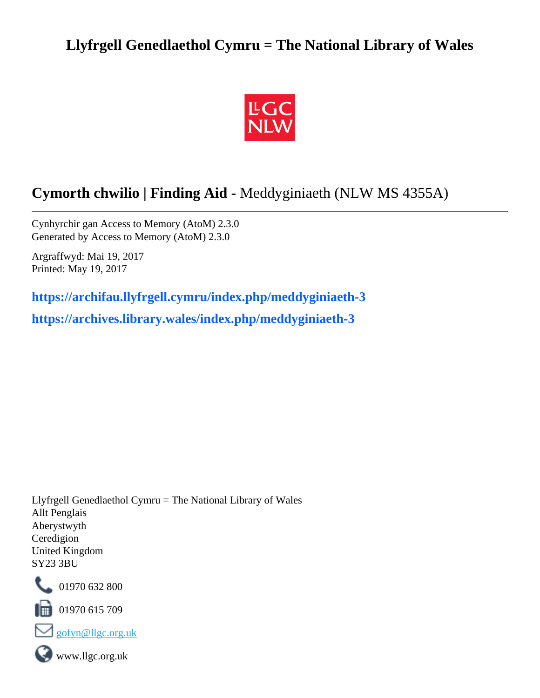# **Llyfrgell Genedlaethol Cymru = The National Library of Wales**



# **Cymorth chwilio | Finding Aid -** Meddyginiaeth (NLW MS 4355A)

Cynhyrchir gan Access to Memory (AtoM) 2.3.0 Generated by Access to Memory (AtoM) 2.3.0

Argraffwyd: Mai 19, 2017 Printed: May 19, 2017

**[https://archifau.llyfrgell.cymru/index.php/meddyginiaeth-3](https://archifau.llyfrgell.cymru/index.php/meddyginiaeth-3;isad?sf_culture=cy) [https://archives.library.wales/index.php/meddyginiaeth-3](https://archives.library.wales/index.php/meddyginiaeth-3;isad?sf_culture=en)**

Llyfrgell Genedlaethol Cymru = The National Library of Wales Allt Penglais Aberystwyth Ceredigion United Kingdom SY23 3BU



101970 632 800

 $\blacksquare$  01970 615 709





www.llgc.org.uk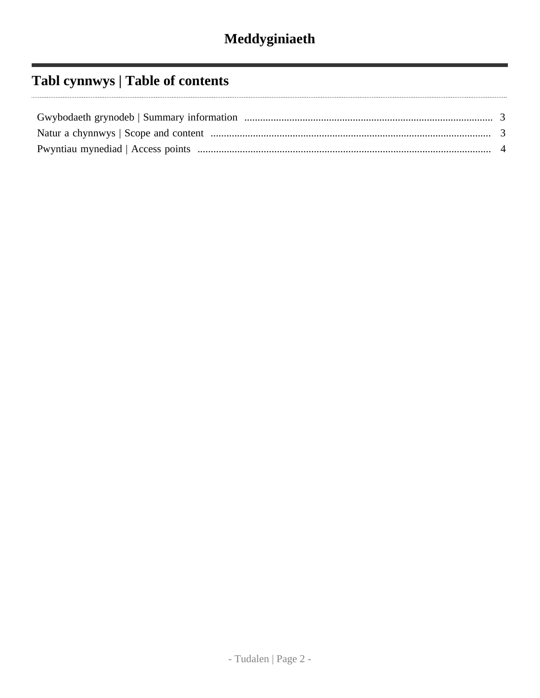# **Tabl cynnwys | Table of contents**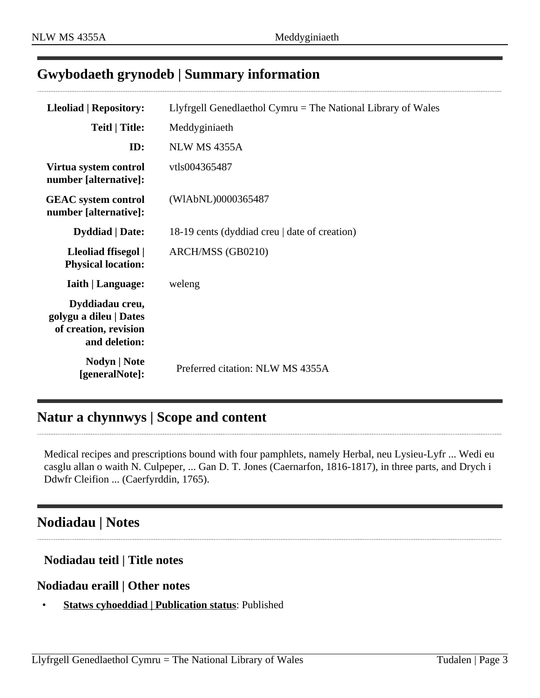#### <span id="page-2-0"></span>**Gwybodaeth grynodeb | Summary information**

| <b>Lleoliad   Repository:</b>                                                       | Llyfrgell Genedlaethol Cymru = The National Library of Wales |
|-------------------------------------------------------------------------------------|--------------------------------------------------------------|
| <b>Teitl   Title:</b>                                                               | Meddyginiaeth                                                |
| ID:                                                                                 | <b>NLW MS 4355A</b>                                          |
| Virtua system control<br>number [alternative]:                                      | vtls004365487                                                |
| <b>GEAC</b> system control<br>number [alternative]:                                 | (WIAbNL)0000365487                                           |
| <b>Dyddiad</b>   Date:                                                              | 18-19 cents (dyddiad creu   date of creation)                |
| Lleoliad ffisegol  <br><b>Physical location:</b>                                    | ARCH/MSS (GB0210)                                            |
| <b>Iaith   Language:</b>                                                            | weleng                                                       |
| Dyddiadau creu,<br>golygu a dileu   Dates<br>of creation, revision<br>and deletion: |                                                              |
| Nodyn   Note<br>[generalNote]:                                                      | Preferred citation: NLW MS 4355A                             |

### <span id="page-2-1"></span>**Natur a chynnwys | Scope and content**

Medical recipes and prescriptions bound with four pamphlets, namely Herbal, neu Lysieu-Lyfr ... Wedi eu casglu allan o waith N. Culpeper, ... Gan D. T. Jones (Caernarfon, 1816-1817), in three parts, and Drych i Ddwfr Cleifion ... (Caerfyrddin, 1765).

#### **Nodiadau | Notes**

#### **Nodiadau teitl | Title notes**

#### **Nodiadau eraill | Other notes**

• **Statws cyhoeddiad | Publication status**: Published